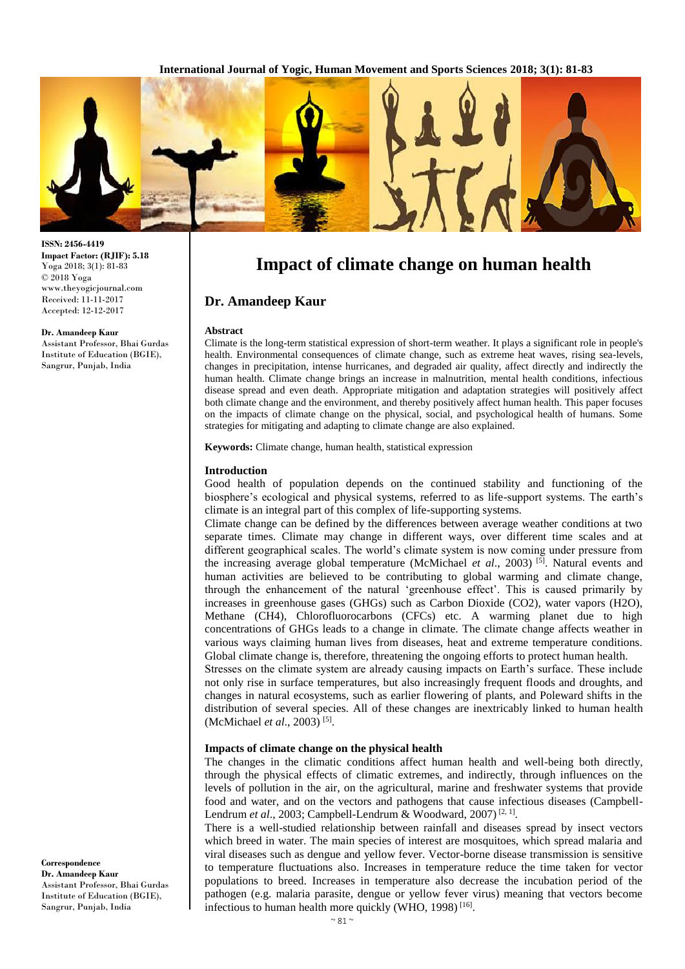

#### **ISSN: 2456-4419 Impact Factor: (RJIF): 5.18** Yoga 2018; 3(1): 81-83 © 2018 Yoga www.theyogicjournal.com Received: 11-11-2017 Accepted: 12-12-2017

#### **Dr. Amandeep Kaur**

Assistant Professor, Bhai Gurdas Institute of Education (BGIE), Sangrur, Punjab, India

# **Impact of climate change on human health**

## **Dr. Amandeep Kaur**

#### **Abstract**

Climate is the long-term statistical expression of short-term weather. It plays a significant role in people's health. Environmental consequences of climate change, such as extreme heat waves, rising sea-levels, changes in precipitation, intense hurricanes, and degraded air quality, affect directly and indirectly the human health. Climate change brings an increase in malnutrition, mental health conditions, infectious disease spread and even death. Appropriate mitigation and adaptation strategies will positively affect both climate change and the environment, and thereby positively affect human health. This paper focuses on the impacts of climate change on the physical, social, and psychological health of humans. Some strategies for mitigating and adapting to climate change are also explained.

**Keywords:** Climate change, human health, statistical expression

#### **Introduction**

Good health of population depends on the continued stability and functioning of the biosphere's ecological and physical systems, referred to as life-support systems. The earth's climate is an integral part of this complex of life-supporting systems.

Climate change can be defined by the differences between average weather conditions at two separate times. Climate may change in different ways, over different time scales and at different geographical scales. The world's climate system is now coming under pressure from the increasing average global temperature (McMichael *et al.*, 2003)<sup>[5]</sup>. Natural events and human activities are believed to be contributing to global warming and climate change, through the enhancement of the natural 'greenhouse effect'. This is caused primarily by increases in greenhouse gases (GHGs) such as Carbon Dioxide (CO2), water vapors (H2O), Methane (CH4), Chlorofluorocarbons (CFCs) etc. A warming planet due to high concentrations of GHGs leads to a change in climate. The climate change affects weather in various ways claiming human lives from diseases, heat and extreme temperature conditions. Global climate change is, therefore, threatening the ongoing efforts to protect human health.

Stresses on the climate system are already causing impacts on Earth's surface. These include not only rise in surface temperatures, but also increasingly frequent floods and droughts, and changes in natural ecosystems, such as earlier flowering of plants, and Poleward shifts in the distribution of several species. All of these changes are inextricably linked to human health (McMichael *et al.*, 2003)<sup>[5]</sup>.

#### **Impacts of climate change on the physical health**

The changes in the climatic conditions affect human health and well-being both directly, through the physical effects of climatic extremes, and indirectly, through influences on the levels of pollution in the air, on the agricultural, marine and freshwater systems that provide food and water, and on the vectors and pathogens that cause infectious diseases (Campbell-Lendrum *et al.*, 2003; Campbell-Lendrum & Woodward, 2007)<sup>[2, 1]</sup>.

There is a well-studied relationship between rainfall and diseases spread by insect vectors which breed in water. The main species of interest are mosquitoes, which spread malaria and viral diseases such as dengue and yellow fever. Vector-borne disease transmission is sensitive to temperature fluctuations also. Increases in temperature reduce the time taken for vector populations to breed. Increases in temperature also decrease the incubation period of the pathogen (e.g. malaria parasite, dengue or yellow fever virus) meaning that vectors become infectious to human health more quickly (WHO, 1998)<sup>[16]</sup>.

**Correspondence Dr. Amandeep Kaur**  Assistant Professor, Bhai Gurdas Institute of Education (BGIE), Sangrur, Punjab, India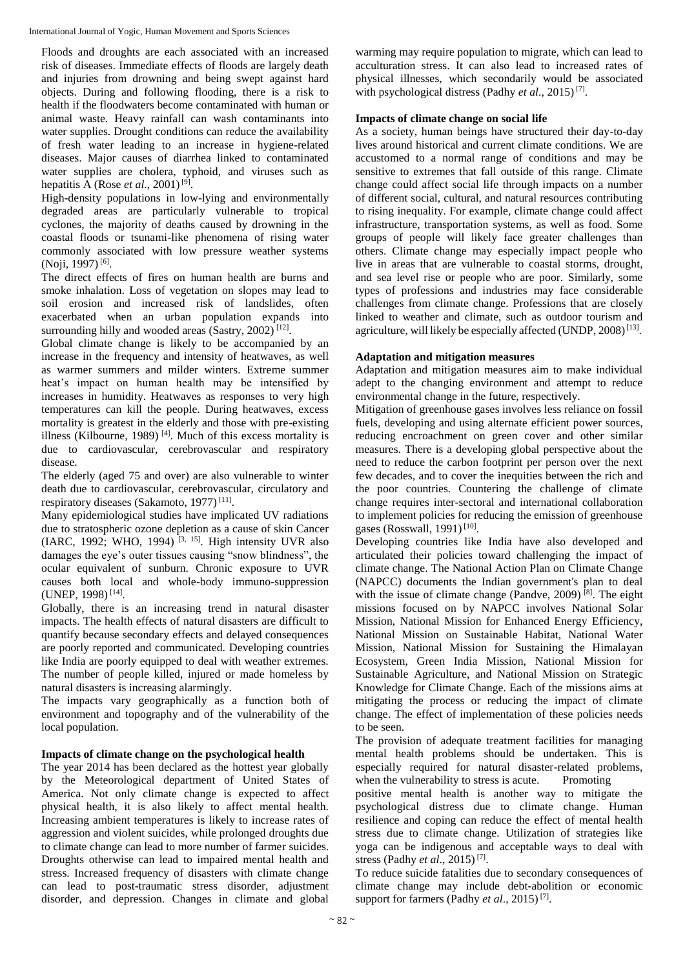International Journal of Yogic, Human Movement and Sports Sciences

Floods and droughts are each associated with an increased risk of diseases. Immediate effects of floods are largely death and injuries from drowning and being swept against hard objects. During and following flooding, there is a risk to health if the floodwaters become contaminated with human or animal waste. Heavy rainfall can wash contaminants into water supplies. Drought conditions can reduce the availability of fresh water leading to an increase in hygiene-related diseases. Major causes of diarrhea linked to contaminated water supplies are cholera, typhoid, and viruses such as hepatitis A (Rose *et al*., 2001) [9] .

High-density populations in low-lying and environmentally degraded areas are particularly vulnerable to tropical cyclones, the majority of deaths caused by drowning in the coastal floods or tsunami-like phenomena of rising water commonly associated with low pressure weather systems (Noji, 1997)<sup>[6]</sup>.

The direct effects of fires on human health are burns and smoke inhalation. Loss of vegetation on slopes may lead to soil erosion and increased risk of landslides, often exacerbated when an urban population expands into surrounding hilly and wooded areas (Sastry, 2002)<sup>[12]</sup>.

Global climate change is likely to be accompanied by an increase in the frequency and intensity of heatwaves, as well as warmer summers and milder winters. Extreme summer heat's impact on human health may be intensified by increases in humidity. Heatwaves as responses to very high temperatures can kill the people. During heatwaves, excess mortality is greatest in the elderly and those with pre-existing illness (Kilbourne, 1989)<sup>[4]</sup>. Much of this excess mortality is due to cardiovascular, cerebrovascular and respiratory disease.

The elderly (aged 75 and over) are also vulnerable to winter death due to cardiovascular, cerebrovascular, circulatory and respiratory diseases (Sakamoto, 1977)<sup>[11]</sup>.

Many epidemiological studies have implicated UV radiations due to stratospheric ozone depletion as a cause of skin Cancer (IARC, 1992; WHO, 1994)<sup>[3, 15]</sup>. High intensity UVR also damages the eye's outer tissues causing "snow blindness", the ocular equivalent of sunburn. Chronic exposure to UVR causes both local and whole-body immuno-suppression (UNEP, 1998)<sup>[14]</sup>.

Globally, there is an increasing trend in natural disaster impacts. The health effects of natural disasters are difficult to quantify because secondary effects and delayed consequences are poorly reported and communicated. Developing countries like India are poorly equipped to deal with weather extremes. The number of people killed, injured or made homeless by natural disasters is increasing alarmingly.

The impacts vary geographically as a function both of environment and topography and of the vulnerability of the local population.

# **Impacts of climate change on the psychological health**

The year 2014 has been declared as the hottest year globally by the Meteorological department of United States of America. Not only climate change is expected to affect physical health, it is also likely to affect mental health. Increasing ambient temperatures is likely to increase rates of aggression and violent suicides, while prolonged droughts due to climate change can lead to more number of farmer suicides. Droughts otherwise can lead to impaired mental health and stress. Increased frequency of disasters with climate change can lead to post-traumatic stress disorder, adjustment disorder, and depression. Changes in climate and global

warming may require population to migrate, which can lead to acculturation stress. It can also lead to increased rates of physical illnesses, which secondarily would be associated with psychological distress (Padhy *et al*., 2015) [7] .

## **Impacts of climate change on social life**

As a society, human beings have structured their day-to-day lives around historical and current climate conditions. We are accustomed to a normal range of conditions and may be sensitive to extremes that fall outside of this range. Climate change could affect social life through impacts on a number of different social, cultural, and natural resources contributing to rising inequality. For example, climate change could affect infrastructure, transportation systems, as well as food. Some groups of people will likely face greater challenges than others. Climate change may especially impact people who live in areas that are vulnerable to coastal storms, drought, and sea level rise or people who are poor. Similarly, some types of professions and industries may face considerable challenges from climate change. Professions that are closely linked to weather and climate, such as outdoor tourism and agriculture, will likely be especially affected (UNDP, 2008)<sup>[13]</sup>.

## **Adaptation and mitigation measures**

Adaptation and mitigation measures aim to make individual adept to the changing environment and attempt to reduce environmental change in the future, respectively.

Mitigation of greenhouse gases involves less reliance on fossil fuels, developing and using alternate efficient power sources, reducing encroachment on green cover and other similar measures. There is a developing global perspective about the need to reduce the carbon footprint per person over the next few decades, and to cover the inequities between the rich and the poor countries. Countering the challenge of climate change requires inter-sectoral and international collaboration to implement policies for reducing the emission of greenhouse gases (Rosswall, 1991)<sup>[10]</sup>.

Developing countries like India have also developed and articulated their policies toward challenging the impact of climate change. The National Action Plan on Climate Change (NAPCC) documents the Indian government's plan to deal with the issue of climate change (Pandve, 2009)<sup>[8]</sup>. The eight missions focused on by NAPCC involves National Solar Mission, National Mission for Enhanced Energy Efficiency, National Mission on Sustainable Habitat, National Water Mission, National Mission for Sustaining the Himalayan Ecosystem, Green India Mission, National Mission for Sustainable Agriculture, and National Mission on Strategic Knowledge for Climate Change. Each of the missions aims at mitigating the process or reducing the impact of climate change. The effect of implementation of these policies needs to be seen.

The provision of adequate treatment facilities for managing mental health problems should be undertaken. This is especially required for natural disaster-related problems, when the vulnerability to stress is acute. Promoting

positive mental health is another way to mitigate the psychological distress due to climate change. Human resilience and coping can reduce the effect of mental health stress due to climate change. Utilization of strategies like yoga can be indigenous and acceptable ways to deal with stress (Padhy *et al*., 2015) [7] .

To reduce suicide fatalities due to secondary consequences of climate change may include debt-abolition or economic support for farmers (Padhy *et al.*, 2015)<sup>[7]</sup>.